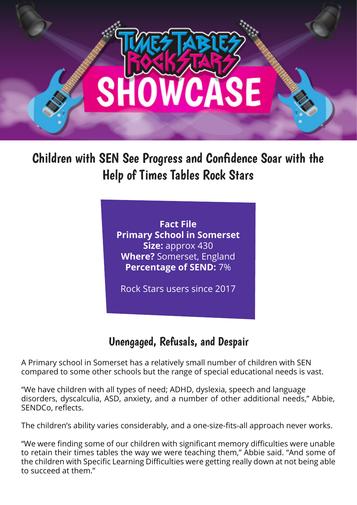

Children with SEN See Progress and Confidence Soar with the Help of Times Tables Rock Stars

> **Fact File Primary School in Somerset Size:** approx 430 **Where?** Somerset, England **Percentage of SEND:** 7%

Rock Stars users since 2017

## Unengaged, Refusals, and Despair

A Primary school in Somerset has a relatively small number of children with SEN compared to some other schools but the range of special educational needs is vast.

"We have children with all types of need; ADHD, dyslexia, speech and language disorders, dyscalculia, ASD, anxiety, and a number of other additional needs," Abbie, SENDCo, reflects.

The children's ability varies considerably, and a one-size-fits-all approach never works.

"We were finding some of our children with significant memory difficulties were unable to retain their times tables the way we were teaching them," Abbie said. "And some of the children with Specific Learning Difficulties were getting really down at not being able to succeed at them."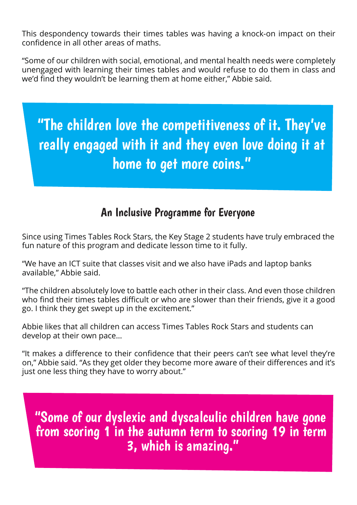This despondency towards their times tables was having a knock-on impact on their confidence in all other areas of maths.

"Some of our children with social, emotional, and mental health needs were completely unengaged with learning their times tables and would refuse to do them in class and we'd find they wouldn't be learning them at home either," Abbie said.

"The children love the competitiveness of it. They've really engaged with it and they even love doing it at home to get more coins."

## An Inclusive Programme for Everyone

Since using Times Tables Rock Stars, the Key Stage 2 students have truly embraced the fun nature of this program and dedicate lesson time to it fully.

"We have an ICT suite that classes visit and we also have iPads and laptop banks available," Abbie said.

"The children absolutely love to battle each other in their class. And even those children who find their times tables difficult or who are slower than their friends, give it a good go. I think they get swept up in the excitement."

Abbie likes that all children can access Times Tables Rock Stars and students can develop at their own pace…

"It makes a difference to their confidence that their peers can't see what level they're on," Abbie said. "As they get older they become more aware of their differences and it's just one less thing they have to worry about."

"Some of our dyslexic and dyscalculic children have gone from scoring 1 in the autumn term to scoring 19 in term<br>3, which is amazing."